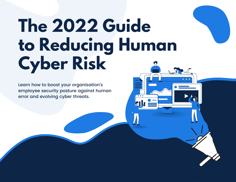# **The 2022 Guide to Reducing Human Cyber Risk**

രൈവ

Learn how to boost your organisation's employee security posture against human error and evolving cyber threats.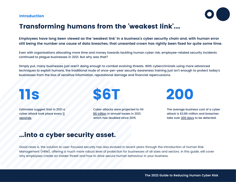# Introduction



# Transforming humans from the 'weakest link'....

Employees have long been viewed as the 'weakest link' in a business's cyber security chain and, with human error still being the number one cause of data breaches, that unwanted crown has rightly been fixed for quite some time.

Even with organisations allocating more time and money towards tackling human cyber risk, employee-related security incidents continued to plague businesses in 2021. But why was that?

Simply put, many businesses just aren't doing enough to combat evolving threats. With cybercriminals using more advanced techniques to exploit humans, the traditional route of once-per-year security awareness training just isn't enough to protect today's businesses from the loss of sensitive information, reputational damage and financial repercussions.

# 11s

Estimates suggest that in 2021 a cyber attack took place every 11 [seconds.](https://cybersecurityventures.com/global-ransomware-damage-costs-predicted-to-reach-20-billion-usd-by-2021/)



Cyber attacks were projected to hit \$6 [trillion](https://cybersecurityventures.com/annual-cybercrime-report-2020/) in annual losses in 2021, which has doubled since 2015.



The average business cost of a cyber attack is \$3.86 million and breaches take over 200 [days](https://www.capita.com/sites/g/files/nginej146/files/2020-08/Ponemon-Global-Cost-of-Data-Breach-Study-2020.pdf) to be detected.

# ...into a cyber security asset.

Good news is, the solution to user-focused security has also evolved in recent years through the introduction of Human Risk Management (HRM), offering a much more robust level of protection for businesses of all sizes and sectors. In this guide, will cover why employees create an insider threat and how to drive secure human behaviour in your business.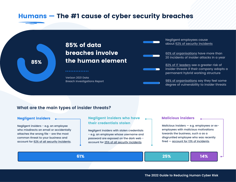# Humans — The #1 cause of cyber security breaches

85% of data breaches involve 85% **the human element** 

> [Verizon](https://www.verizon.com/business/resources/reports/dbir/) 2021 Data Breach [Investigations](https://www.verizon.com/business/resources/reports/dbir/) Report

. . . . . . . . . . . . . .

Negligent employees cause about 62% of security [incidents](https://www.cfodailynews.com/news/insider-breaches-employee-negligence/)

60% of [organisations](https://financesonline.com/insider-threat-statistics/#:~:text=Another%20report%20predicts%20that%20the,year%20(IBM%2C%202020).) have more than 20 incidents of insider attacks in a year

82% of IT [leaders](https://datacentre.solutions/news/60020/half-of-organisations-experience-remote-working-security-incidents) see a greater risk of insider threats if their company adopts a permanent hybrid working structure

98% of [organisations](https://www.cybersecurity-insiders.com/portfolio/insider-threat-report-prospectus/) say they feel some degree of vulnerability to insider threats

# **What are the main types of insider threats?**

# Negligent insiders

Negligent insiders - e.g. an employee who misdirects an email or [accidentally](https://www.cybersecurity-insiders.com/portfolio/insider-threat-report-prospectus/) attaches the wrong file - are the most [common](https://www.cybersecurity-insiders.com/portfolio/insider-threat-report-prospectus/) threat to your business and account for 62% of all security [incidents](https://www.cfodailynews.com/news/insider-breaches-employee-negligence/).

# Negligent insiders who have their credentials stolen

Negligent insiders with stolen credentials - e.g. an employee whose username and password are exposed on the dark web account for 25% of all security [incidents](https://www.tessian.com/blog/insider-threat-statistics/).

## Malicious insiders

Malicious insiders — e.g. employees or exemployees with malicious motivations towards the business, such a as a disgruntled employee who was recently fired — account for 13% of [incidents](https://www.tessian.com/blog/insider-threat-statistics/).

61% 25% 14%

 $\mathbf{m}$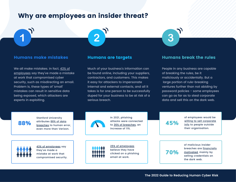# Why are employees an insider threat?

We all make mistakes. In fact, 43% of [employees](https://www.verdict.co.uk/employee-mistakes-cybersecurity/) say they've made a mistake at work that compromised cyber security, such as misdirecting an email. Problem is, these types of 'small' mistakes can result in sensitive data being exposed, which attackers are experts in exploiting.

 $\overline{2}$ 

Much of your business's information can be found online, including your suppliers, contractors, and customers. This makes it easy for attackers to impersonate internal and external contacts, and all it takes is for one person to be successfully duped for your business to be at risk of a serious breach.

# Humans make mistakes Humans are targets Humans break the rules

People in any business are capable of breaking the rules, be it maliciously or accidentally. But a large portion of rule-breaking ventures further than not abiding by password policies - some employees can go as far as to steal corporate data and sell this on the dark web.

Stanford University [attributes](https://www.influencive.com/human-error-is-still-the-number-one-cause-of-most-data-breaches-in-2021/) 88% of data breaches to human error, even more than Verizon. 88%

> 43% of [employees](https://businessinsights.bitdefender.com/workers-confess-security-mistakes-stanford-professor) say they've made a mistake at work that compromised security.



In 2021, phishing attacks were connected to 36% of [breaches,](https://www.welivesecurity.com/2021/12/30/22-cybersecurity-statistics-know-2022/) an increase of 11%.

25% of [employees](https://cisomag.eccouncil.org/distracted-employees/) believe they have clicked on a phishing email at work.

45%

3

70%

of employees would be willing to sell [corporate](https://www.deep-secure.com/news-and-events/111-45-of-office-workers-would-sell-their-firm-s-corporate-information.php) info to people outside their organisation.

of malicious insider breaches are [financially](https://hmhconsultants.com/remote-working-does-it-increase-your-insider-threat/) [motivated](https://hmhconsultants.com/remote-working-does-it-increase-your-insider-threat/), mainly by selling credentials on the dark web.

**The 2022 Guide to Reducing Human Cyber Risk**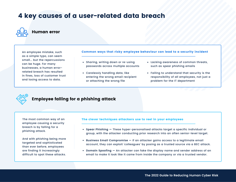# 4 key causes of a user-related data breach



# Human error

An employee mistake, such as a simple typo, can seem small... but the repercussions can be huge. For many businesses, a human errorrelated breach has resulted in fines, loss of customer trust and losing access to data.

Common ways that risky employee behaviour can lead to a security incident

- Sharing, writing down or re-using passwords across multiple accounts
- Carelessly handling data, like entering the wrong email recipient or attaching the wrong file
- Lacking awareness of common threats, such as spear phishing emails
- Failing to understand that security is the responsibility of all employees, not just a problem for the IT department

# Employee falling for a phishing attack

The most common way of an employee causing a security breach is by falling for a phishing attack.

And with phishing being more targeted and sophisticated than ever before, employees are finding it increasingly difficult to spot these attacks.

## The clever techniques attackers use to reel in your employees

- **Spear Phishing —** These hyper-personalised attacks target a specific individual or group, with the attacker conducting prior research into an often senior-level target.
- **Business Email Compromise —** If an attacker gains access to a legitimate email account, they can exploit 'colleagues' by posing as a trusted source via a BEC attack.
- **Domain Spoofing —** An attacker can fake the display name and sender address of an email to make it look like it came from inside the company or via a trusted vendor.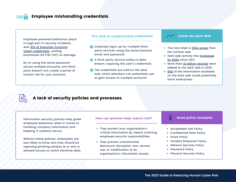

# Employee mishandling credentials

Employee password behaviour plays a huge part in security incidents, with 61% of breaches involving stolen [credentials,](https://www.flashpoint-intel.com/blog/compromised-credentials-analyzing-2021-verizon-dbir/#:~:text=As%20the%20figure%20on%20the,40%25%20of%20breaches%20this%20year.) costing businesses \$4.37M (US) on average.

By re-using the same password across multiple accounts, one thirdparty breach can create a portal of human risk for your business.

## The road to compromised credentials  $\sim$   $\sim$  Inside the Dark Web

- **Employee signs up for multiple third**party services using the same business email and password.
- **2** A third-party service suffers a data breach, exposing the user's credentials.
- **The credentials are sold on the dark** web, which attackers can potentially use to gain access to multiple accounts.



- The Dark Web is 500x [larger](https://www.broadbandsearch.net/blog/facts-about-dark-web) than the surface web.
- Dark web activity has [increased](https://www.timesnownews.com/technology-science/article/dark-web-activity-has-spiked-over-300-per-cent-since-2017-whats-driving-boom-in-the-internet-s-underbelly/594600) by 300% since 2017.
- More than 22 billion [records](https://securityboulevard.com/2021/01/hackers-leaked-22-million-records-on-the-dark-web-in-2020/) were added to the dark web in 2020.
- [60%](https://anonyome.com/2020/11/the-growing-risks-to-business-and-their-customers-from-the-dark-web/#:~:text=The%202019%20installment%20of%20the,)%2C%2060%25%20could%20potentially%20harm) of the information available on the dark web could potentially harm enterprises.

# 字

# A lack of security policies and processes

Information security policies help guide employee behaviour when it comes to handling company information and keeping IT systems secure.

Without these policies, employees are less likely to know who they should be reporting phishing attacks to or who is allowed access to which sensitive data.

### How can policies help reduce risk?

- They protect your organisation's critical information by clearly outlining employee security responsibilities.
- They prevent unauthorised disclosure, disruption, loss, access, use, or modification of an organisation's information assets.

# Good policy examples

- Acceptable Use Policy
- Confidential Data Policy
- Email Policy

(ඉ

- Incident Response Policy
- Network Security Policy
- Password Policy
- Physical Security Policy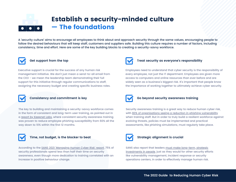# Establish a security-minded culture — The foundations

A 'security culture' aims to encourage all employees to think about and approach security through the same values, encouraging people to follow the desired behaviours that will keep staff, customers and suppliers safe. Building this culture requires a number of factors, including consistency, time and effort. Here are some of the key building blocks to creating a security-savvy workforce.



# **Get support from the top**

Executive support is crucial for the success of any human risk management initiative. We don't just mean a send-to-all email from the CEO - we mean the leadership team demonstrating their full support for this initiative through regular communications to staff, assigning the necessary budget and creating specific business roles.



## **Consistency and commitment is key**

The key to building and maintaining a security-savvy workforce comes in the form of consistent and long-term user training, as pointed out in a report by [Keepnet](https://securityboulevard.com/2020/09/researchers-identify-the-departments-and-industries-most-susceptible-to-email-based-cyber-attacks/) Labs, where consistent security awareness training was proven to reduce employee phishing susceptibility from 60% all the way down to 10% within the first 12 months.



# **Time, not budget, is the blocker to beat**

According to the SANS 2021 ['Managing](https://www.sans.org/security-awareness-training/resources/reports/sareport-2021/) Human Cyber Risk' report, 75% of security professionals spend less than half their time on security awareness, even though more dedication to training correlated with an increase in positive behaviour change.



## **Treat security as everyone's responsibility**

Employees need to understand that cyber security is the responsibility of every employee, not just the IT department. Employees are given more access to computers and online resources than ever before and are widely seen as a business's biggest risk. It's important that people know the importance of working together to ultimately achieve cyber security.



## **Go beyond security awareness training**

Security awareness training is a great way to reduce human cyber risk, with 80% of [organisations](https://www.infosecurity-magazine.com/blogs/employee-cyber-awareness-crisis/) seeing a reduction in phishing vulnerability when training staff. But in order to truly build a resilient workforce against evolving threats, policies must be implemented and practical assessments, like phishing simulations, must regularly take place.



# **Strategic alignment is crucial**

SANS also report that leaders must make long-term, strategic [investments](https://www.sans.org/security-awareness-training/resources/reports/sareport-2021/) in people, just as they would for other security efforts like vulnerability management, incident response or security operations centers, in order to effectively manage human risk.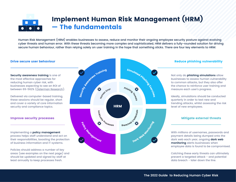# Implement Human Risk Management (HRM) — The fundamentals

Human Risk Management (HRM) enables businesses to assess, reduce and monitor their ongoing employee security posture against evolving cyber threats and human error. With these threats becoming more complex and sophisticated, HRM delivers a fully-rounded solution for driving secure human behaviour, rather than relying solely on user training in the hope that something sticks. There are four key elements to HRM:

### Drive secure user behaviour

**Security awareness training** is one of the most effective approaches for reducing human cyber risk, with businesses expecting to see an ROI of between 69-562% [\(Osterman](https://www.eacs.com/the-roi-of-security-awareness-training/) Research).

Delivered via computer-based training, these sessions should be regular, short and cover a variety of core information security and compliance topics.

## Improve security processes

Implementing a **policy management** process helps staff understand and act on their responsibilities, boosting the protection of business information and IT systems.

Policies should address a number of key areas (see examples on the next page) and should be updated and signed by staff at least annually to keep processes fresh.



## Reduce phishing vulnerability

Not only do **phishing simulations** allow businesses to assess human vulnerability to common attacks, but they also offer the chance to reinforce user training and measure each user's progress.

Ideally, simulations should be conducted quarterly in order to test new and trending attacks, whilst assessing the risk level of new employees.

## Mitigate external threats

With millions of usernames, passwords and payment details being dumped onto the dark web each year, ongoing **dark web monitoring** alerts businesses when employee data is found to be compromised.

Catching these early threats can ultimately prevent a targeted attack - and potential data breach - later down the line.